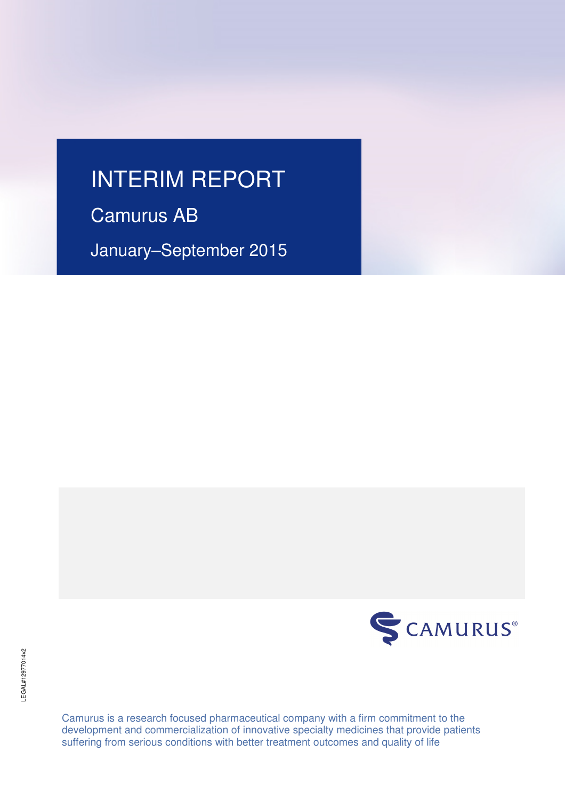# INTERIM REPORT

Camurus AB

January–September 2015



Camurus is a research focused pharmaceutical company with a firm commitment to the development and commercialization of innovative specialty medicines that provide patients suffering from serious conditions with better treatment outcomes and quality of life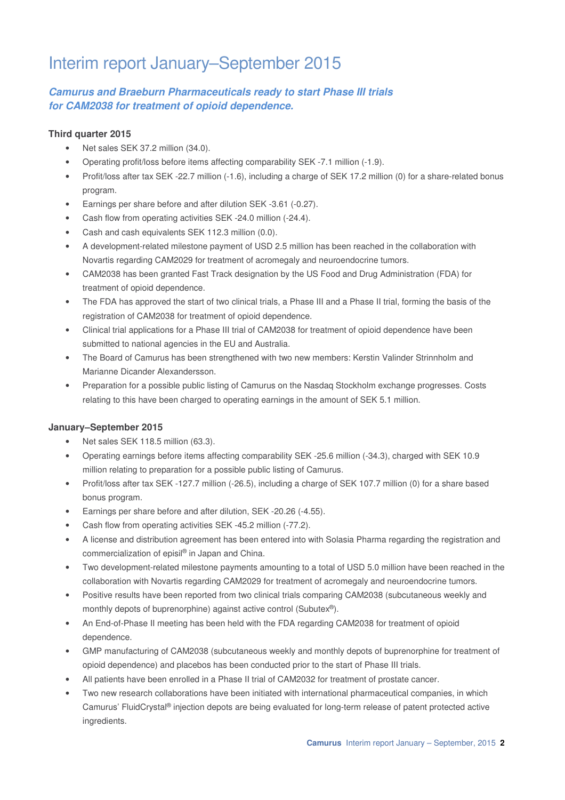# Interim report January–September 2015

# **Camurus and Braeburn Pharmaceuticals ready to start Phase III trials for CAM2038 for treatment of opioid dependence.**

### **Third quarter 2015**

- Net sales SEK 37.2 million (34.0).
- Operating profit/loss before items affecting comparability SEK -7.1 million (-1.9).
- Profit/loss after tax SEK -22.7 million (-1.6), including a charge of SEK 17.2 million (0) for a share-related bonus program.
- Earnings per share before and after dilution SEK -3.61 (-0.27).
- Cash flow from operating activities SEK -24.0 million (-24.4).
- Cash and cash equivalents SEK 112.3 million (0.0).
- A development-related milestone payment of USD 2.5 million has been reached in the collaboration with Novartis regarding CAM2029 for treatment of acromegaly and neuroendocrine tumors.
- CAM2038 has been granted Fast Track designation by the US Food and Drug Administration (FDA) for treatment of opioid dependence.
- The FDA has approved the start of two clinical trials, a Phase III and a Phase II trial, forming the basis of the registration of CAM2038 for treatment of opioid dependence.
- Clinical trial applications for a Phase III trial of CAM2038 for treatment of opioid dependence have been submitted to national agencies in the EU and Australia.
- The Board of Camurus has been strengthened with two new members: Kerstin Valinder Strinnholm and Marianne Dicander Alexandersson.
- Preparation for a possible public listing of Camurus on the Nasdaq Stockholm exchange progresses. Costs relating to this have been charged to operating earnings in the amount of SEK 5.1 million.

### **January–September 2015**

- Net sales SEK 118.5 million (63.3).
- Operating earnings before items affecting comparability SEK -25.6 million (-34.3), charged with SEK 10.9 million relating to preparation for a possible public listing of Camurus.
- Profit/loss after tax SEK -127.7 million (-26.5), including a charge of SEK 107.7 million (0) for a share based bonus program.
- Earnings per share before and after dilution, SEK -20.26 (-4.55).
- Cash flow from operating activities SEK -45.2 million (-77.2).
- A license and distribution agreement has been entered into with Solasia Pharma regarding the registration and commercialization of episil® in Japan and China.
- Two development-related milestone payments amounting to a total of USD 5.0 million have been reached in the collaboration with Novartis regarding CAM2029 for treatment of acromegaly and neuroendocrine tumors.
- Positive results have been reported from two clinical trials comparing CAM2038 (subcutaneous weekly and monthly depots of buprenorphine) against active control (Subutex<sup>®</sup>).
- An End-of-Phase II meeting has been held with the FDA regarding CAM2038 for treatment of opioid dependence.
- GMP manufacturing of CAM2038 (subcutaneous weekly and monthly depots of buprenorphine for treatment of opioid dependence) and placebos has been conducted prior to the start of Phase III trials.
- All patients have been enrolled in a Phase II trial of CAM2032 for treatment of prostate cancer.
- Two new research collaborations have been initiated with international pharmaceutical companies, in which Camurus' FluidCrystal® injection depots are being evaluated for long-term release of patent protected active ingredients.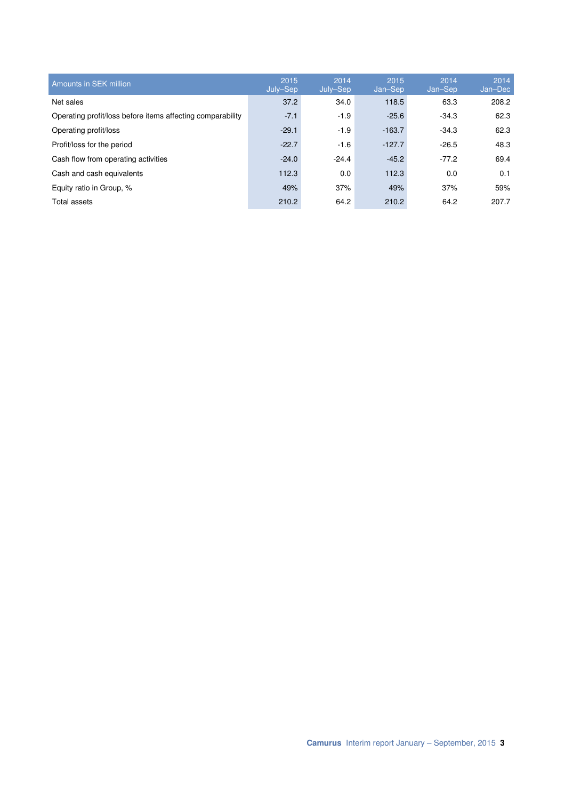| Amounts in SEK million                                     | 2015<br>July-Sep | 2014<br>July–Sep | 2015<br>Jan-Sep | 2014<br>Jan-Sep | 2014<br>Jan-Dec |
|------------------------------------------------------------|------------------|------------------|-----------------|-----------------|-----------------|
| Net sales                                                  | 37.2             | 34.0             | 118.5           | 63.3            | 208.2           |
| Operating profit/loss before items affecting comparability | $-7.1$           | $-1.9$           | $-25.6$         | $-34.3$         | 62.3            |
| Operating profit/loss                                      | $-29.1$          | $-1.9$           | $-163.7$        | $-34.3$         | 62.3            |
| Profit/loss for the period                                 | $-22.7$          | $-1.6$           | $-127.7$        | $-26.5$         | 48.3            |
| Cash flow from operating activities                        | $-24.0$          | $-24.4$          | $-45.2$         | $-77.2$         | 69.4            |
| Cash and cash equivalents                                  | 112.3            | 0.0              | 112.3           | 0.0             | 0.1             |
| Equity ratio in Group, %                                   | 49%              | 37%              | 49%             | 37%             | 59%             |
| Total assets                                               | 210.2            | 64.2             | 210.2           | 64.2            | 207.7           |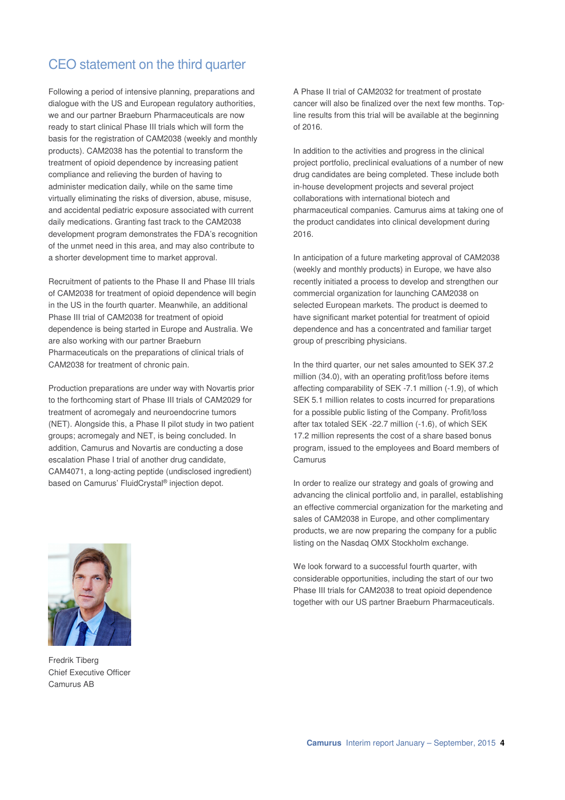# CEO statement on the third quarter

Following a period of intensive planning, preparations and dialogue with the US and European regulatory authorities, we and our partner Braeburn Pharmaceuticals are now ready to start clinical Phase III trials which will form the basis for the registration of CAM2038 (weekly and monthly products). CAM2038 has the potential to transform the treatment of opioid dependence by increasing patient compliance and relieving the burden of having to administer medication daily, while on the same time virtually eliminating the risks of diversion, abuse, misuse, and accidental pediatric exposure associated with current daily medications. Granting fast track to the CAM2038 development program demonstrates the FDA's recognition of the unmet need in this area, and may also contribute to a shorter development time to market approval.

Recruitment of patients to the Phase II and Phase III trials of CAM2038 for treatment of opioid dependence will begin in the US in the fourth quarter. Meanwhile, an additional Phase III trial of CAM2038 for treatment of opioid dependence is being started in Europe and Australia. We are also working with our partner Braeburn Pharmaceuticals on the preparations of clinical trials of CAM2038 for treatment of chronic pain.

Production preparations are under way with Novartis prior to the forthcoming start of Phase III trials of CAM2029 for treatment of acromegaly and neuroendocrine tumors (NET). Alongside this, a Phase II pilot study in two patient groups; acromegaly and NET, is being concluded. In addition, Camurus and Novartis are conducting a dose escalation Phase I trial of another drug candidate, CAM4071, a long-acting peptide (undisclosed ingredient) based on Camurus' FluidCrystal® injection depot.

A Phase II trial of CAM2032 for treatment of prostate cancer will also be finalized over the next few months. Topline results from this trial will be available at the beginning of 2016.

In addition to the activities and progress in the clinical project portfolio, preclinical evaluations of a number of new drug candidates are being completed. These include both in-house development projects and several project collaborations with international biotech and pharmaceutical companies. Camurus aims at taking one of the product candidates into clinical development during 2016.

In anticipation of a future marketing approval of CAM2038 (weekly and monthly products) in Europe, we have also recently initiated a process to develop and strengthen our commercial organization for launching CAM2038 on selected European markets. The product is deemed to have significant market potential for treatment of opioid dependence and has a concentrated and familiar target group of prescribing physicians.

In the third quarter, our net sales amounted to SEK 37.2 million (34.0), with an operating profit/loss before items affecting comparability of SEK -7.1 million (-1.9), of which SEK 5.1 million relates to costs incurred for preparations for a possible public listing of the Company. Profit/loss after tax totaled SEK -22.7 million (-1.6), of which SEK 17.2 million represents the cost of a share based bonus program, issued to the employees and Board members of Camurus

In order to realize our strategy and goals of growing and advancing the clinical portfolio and, in parallel, establishing an effective commercial organization for the marketing and sales of CAM2038 in Europe, and other complimentary products, we are now preparing the company for a public listing on the Nasdaq OMX Stockholm exchange.

We look forward to a successful fourth quarter, with considerable opportunities, including the start of our two Phase III trials for CAM2038 to treat opioid dependence together with our US partner Braeburn Pharmaceuticals.



Fredrik Tiberg Chief Executive Officer Camurus AB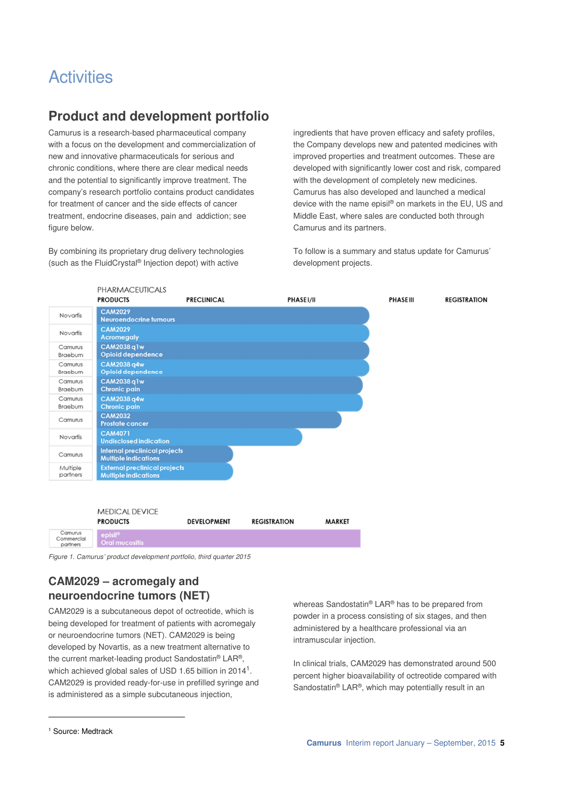# **Activities**

# **Product and development portfolio**

Camurus is a research-based pharmaceutical company with a focus on the development and commercialization of new and innovative pharmaceuticals for serious and chronic conditions, where there are clear medical needs and the potential to significantly improve treatment. The company's research portfolio contains product candidates for treatment of cancer and the side effects of cancer treatment, endocrine diseases, pain and addiction; see figure below.

By combining its proprietary drug delivery technologies (such as the FluidCrystal® Injection depot) with active

ingredients that have proven efficacy and safety profiles, the Company develops new and patented medicines with improved properties and treatment outcomes. These are developed with significantly lower cost and risk, compared with the development of completely new medicines. Camurus has also developed and launched a medical device with the name episil® on markets in the EU, US and Middle East, where sales are conducted both through Camurus and its partners.

To follow is a summary and status update for Camurus' development projects.



Figure 1. Camurus' product development portfolio, third quarter 2015

# **CAM2029 – acromegaly and neuroendocrine tumors (NET)**

CAM2029 is a subcutaneous depot of octreotide, which is being developed for treatment of patients with acromegaly or neuroendocrine tumors (NET). CAM2029 is being developed by Novartis, as a new treatment alternative to the current market-leading product Sandostatin® LAR®, which achieved global sales of USD 1.65 billion in 2014<sup>1</sup>. CAM2029 is provided ready-for-use in prefilled syringe and is administered as a simple subcutaneous injection,

whereas Sandostatin® LAR® has to be prepared from powder in a process consisting of six stages, and then administered by a healthcare professional via an intramuscular injection.

In clinical trials, CAM2029 has demonstrated around 500 percent higher bioavailability of octreotide compared with Sandostatin® LAR®, which may potentially result in an

l

<sup>1</sup> Source: Medtrack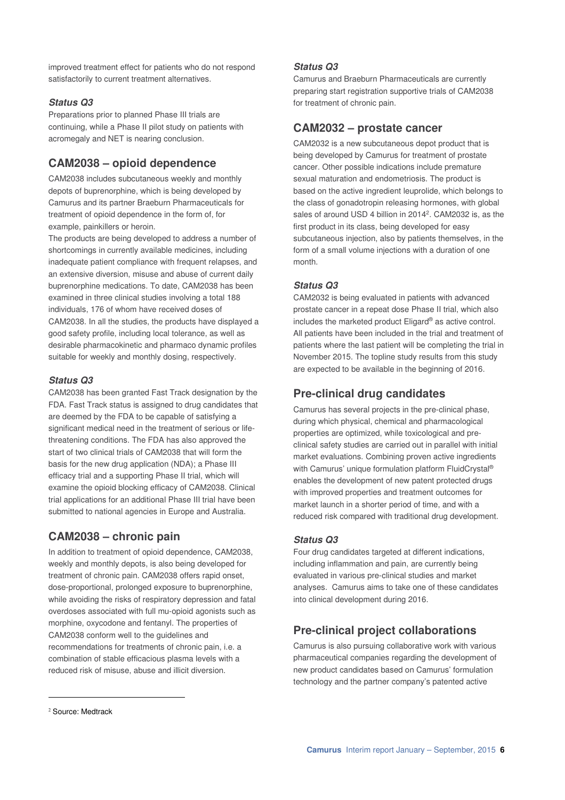improved treatment effect for patients who do not respond satisfactorily to current treatment alternatives.

#### **Status Q3**

Preparations prior to planned Phase III trials are continuing, while a Phase II pilot study on patients with acromegaly and NET is nearing conclusion.

# **CAM2038 – opioid dependence**

CAM2038 includes subcutaneous weekly and monthly depots of buprenorphine, which is being developed by Camurus and its partner Braeburn Pharmaceuticals for treatment of opioid dependence in the form of, for example, painkillers or heroin.

The products are being developed to address a number of shortcomings in currently available medicines, including inadequate patient compliance with frequent relapses, and an extensive diversion, misuse and abuse of current daily buprenorphine medications. To date, CAM2038 has been examined in three clinical studies involving a total 188 individuals, 176 of whom have received doses of CAM2038. In all the studies, the products have displayed a good safety profile, including local tolerance, as well as desirable pharmacokinetic and pharmaco dynamic profiles suitable for weekly and monthly dosing, respectively.

#### **Status Q3**

CAM2038 has been granted Fast Track designation by the FDA. Fast Track status is assigned to drug candidates that are deemed by the FDA to be capable of satisfying a significant medical need in the treatment of serious or lifethreatening conditions. The FDA has also approved the start of two clinical trials of CAM2038 that will form the basis for the new drug application (NDA); a Phase III efficacy trial and a supporting Phase II trial, which will examine the opioid blocking efficacy of CAM2038. Clinical trial applications for an additional Phase III trial have been submitted to national agencies in Europe and Australia.

### **CAM2038 – chronic pain**

In addition to treatment of opioid dependence, CAM2038, weekly and monthly depots, is also being developed for treatment of chronic pain. CAM2038 offers rapid onset, dose-proportional, prolonged exposure to buprenorphine, while avoiding the risks of respiratory depression and fatal overdoses associated with full mu-opioid agonists such as morphine, oxycodone and fentanyl. The properties of CAM2038 conform well to the guidelines and recommendations for treatments of chronic pain, i.e. a combination of stable efficacious plasma levels with a reduced risk of misuse, abuse and illicit diversion.

#### **Status Q3**

Camurus and Braeburn Pharmaceuticals are currently preparing start registration supportive trials of CAM2038 for treatment of chronic pain.

## **CAM2032 – prostate cancer**

CAM2032 is a new subcutaneous depot product that is being developed by Camurus for treatment of prostate cancer. Other possible indications include premature sexual maturation and endometriosis. The product is based on the active ingredient leuprolide, which belongs to the class of gonadotropin releasing hormones, with global sales of around USD 4 billion in 2014<sup>2</sup>. CAM2032 is, as the first product in its class, being developed for easy subcutaneous injection, also by patients themselves, in the form of a small volume injections with a duration of one month.

#### **Status Q3**

CAM2032 is being evaluated in patients with advanced prostate cancer in a repeat dose Phase II trial, which also includes the marketed product Eligard® as active control. All patients have been included in the trial and treatment of patients where the last patient will be completing the trial in November 2015. The topline study results from this study are expected to be available in the beginning of 2016.

# **Pre-clinical drug candidates**

Camurus has several projects in the pre-clinical phase, during which physical, chemical and pharmacological properties are optimized, while toxicological and preclinical safety studies are carried out in parallel with initial market evaluations. Combining proven active ingredients with Camurus' unique formulation platform FluidCrystal<sup>®</sup> enables the development of new patent protected drugs with improved properties and treatment outcomes for market launch in a shorter period of time, and with a reduced risk compared with traditional drug development.

### **Status Q3**

Four drug candidates targeted at different indications, including inflammation and pain, are currently being evaluated in various pre-clinical studies and market analyses. Camurus aims to take one of these candidates into clinical development during 2016.

# **Pre-clinical project collaborations**

Camurus is also pursuing collaborative work with various pharmaceutical companies regarding the development of new product candidates based on Camurus' formulation technology and the partner company's patented active

l

<sup>&</sup>lt;sup>2</sup> Source: Medtrack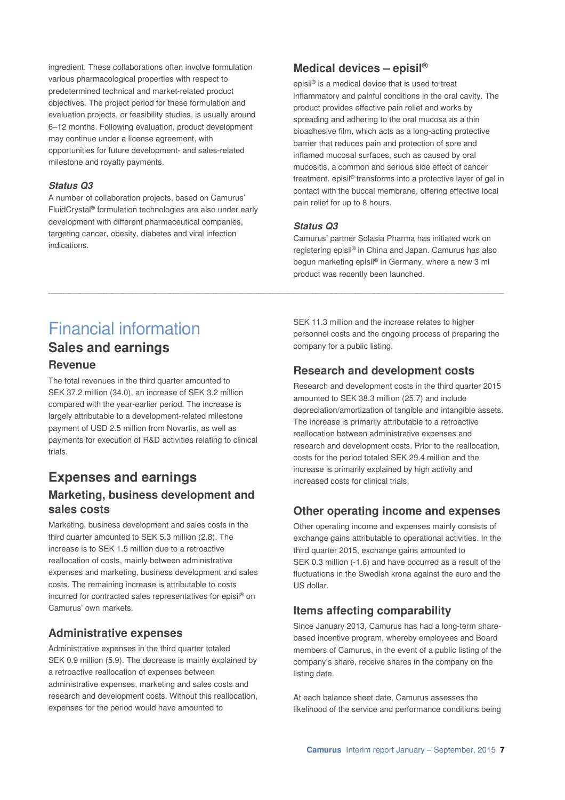ingredient. These collaborations often involve formulation various pharmacological properties with respect to predetermined technical and market-related product objectives. The project period for these formulation and evaluation projects, or feasibility studies, is usually around 6–12 months. Following evaluation, product development may continue under a license agreement, with opportunities for future development- and sales-related milestone and royalty payments.

#### **Status Q3**

A number of collaboration projects, based on Camurus' FluidCrystal® formulation technologies are also under early development with different pharmaceutical companies, targeting cancer, obesity, diabetes and viral infection indications.

# **Medical devices – episil®**

episil® is a medical device that is used to treat inflammatory and painful conditions in the oral cavity. The product provides effective pain relief and works by spreading and adhering to the oral mucosa as a thin bioadhesive film, which acts as a long-acting protective barrier that reduces pain and protection of sore and inflamed mucosal surfaces, such as caused by oral mucositis, a common and serious side effect of cancer treatment, episil<sup>®</sup> transforms into a protective layer of gel in contact with the buccal membrane, offering effective local pain relief for up to 8 hours.

#### **Status Q3**

\_\_\_\_\_\_\_\_\_\_\_\_\_\_\_\_\_\_\_\_\_\_\_\_\_\_\_\_\_\_\_\_\_\_\_\_\_\_\_\_\_\_\_\_\_\_\_\_\_\_\_\_\_\_\_\_\_\_\_\_\_\_\_\_\_\_\_\_\_\_\_\_\_\_\_\_\_\_\_\_\_\_\_\_\_\_\_\_\_\_\_\_\_\_\_\_

Camurus' partner Solasia Pharma has initiated work on registering episil® in China and Japan. Camurus has also begun marketing episil® in Germany, where a new 3 ml product was recently been launched.

# Financial information **Sales and earnings**

### **Revenue**

The total revenues in the third quarter amounted to SEK 37.2 million (34.0), an increase of SEK 3.2 million compared with the year-earlier period. The increase is largely attributable to a development-related milestone payment of USD 2.5 million from Novartis, as well as payments for execution of R&D activities relating to clinical trials.

# **Expenses and earnings Marketing, business development and sales costs**

Marketing, business development and sales costs in the third quarter amounted to SEK 5.3 million (2.8). The increase is to SEK 1.5 million due to a retroactive reallocation of costs, mainly between administrative expenses and marketing, business development and sales costs. The remaining increase is attributable to costs incurred for contracted sales representatives for episil® on Camurus' own markets.

### **Administrative expenses**

Administrative expenses in the third quarter totaled SEK 0.9 million (5.9). The decrease is mainly explained by a retroactive reallocation of expenses between administrative expenses, marketing and sales costs and research and development costs. Without this reallocation, expenses for the period would have amounted to

SEK 11.3 million and the increase relates to higher personnel costs and the ongoing process of preparing the company for a public listing.

# **Research and development costs**

Research and development costs in the third quarter 2015 amounted to SEK 38.3 million (25.7) and include depreciation/amortization of tangible and intangible assets. The increase is primarily attributable to a retroactive reallocation between administrative expenses and research and development costs. Prior to the reallocation, costs for the period totaled SEK 29.4 million and the increase is primarily explained by high activity and increased costs for clinical trials.

# **Other operating income and expenses**

Other operating income and expenses mainly consists of exchange gains attributable to operational activities. In the third quarter 2015, exchange gains amounted to SEK 0.3 million (-1.6) and have occurred as a result of the fluctuations in the Swedish krona against the euro and the US dollar.

# **Items affecting comparability**

Since January 2013, Camurus has had a long-term sharebased incentive program, whereby employees and Board members of Camurus, in the event of a public listing of the company's share, receive shares in the company on the listing date.

At each balance sheet date, Camurus assesses the likelihood of the service and performance conditions being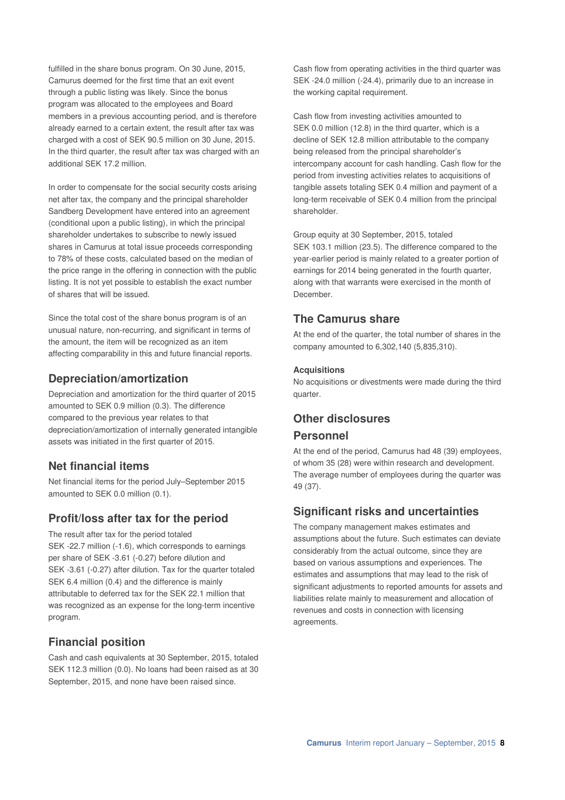fulfilled in the share bonus program. On 30 June, 2015, Camurus deemed for the first time that an exit event through a public listing was likely. Since the bonus program was allocated to the employees and Board members in a previous accounting period, and is therefore already earned to a certain extent, the result after tax was charged with a cost of SEK 90.5 million on 30 June, 2015. In the third quarter, the result after tax was charged with an additional SEK 17.2 million

In order to compensate for the social security costs arising net after tax, the company and the principal shareholder Sandberg Development have entered into an agreement (conditional upon a public listing), in which the principal shareholder undertakes to subscribe to newly issued shares in Camurus at total issue proceeds corresponding to 78% of these costs, calculated based on the median of the price range in the offering in connection with the public listing. It is not yet possible to establish the exact number of shares that will be issued.

Since the total cost of the share bonus program is of an unusual nature, non-recurring, and significant in terms of the amount, the item will be recognized as an item affecting comparability in this and future financial reports.

# **Depreciation/amortization**

Depreciation and amortization for the third quarter of 2015 amounted to SEK 0.9 million (0.3). The difference compared to the previous year relates to that depreciation/amortization of internally generated intangible assets was initiated in the first quarter of 2015.

### **Net financial items**

Net financial items for the period July–September 2015 amounted to SEK 0.0 million (0.1).

# **Profit/loss after tax for the period**

The result after tax for the period totaled SEK -22.7 million (-1.6), which corresponds to earnings per share of SEK -3.61 (-0.27) before dilution and SEK -3.61 (-0.27) after dilution. Tax for the quarter totaled SEK 6.4 million (0.4) and the difference is mainly attributable to deferred tax for the SEK 22.1 million that was recognized as an expense for the long-term incentive program.

# **Financial position**

Cash and cash equivalents at 30 September, 2015, totaled SEK 112.3 million (0.0). No loans had been raised as at 30 September, 2015, and none have been raised since.

Cash flow from operating activities in the third quarter was SEK -24.0 million (-24.4), primarily due to an increase in the working capital requirement.

Cash flow from investing activities amounted to SEK 0.0 million (12.8) in the third quarter, which is a decline of SEK 12.8 million attributable to the company being released from the principal shareholder's intercompany account for cash handling. Cash flow for the period from investing activities relates to acquisitions of tangible assets totaling SEK 0.4 million and payment of a long-term receivable of SEK 0.4 million from the principal shareholder.

Group equity at 30 September, 2015, totaled SEK 103.1 million (23.5). The difference compared to the year-earlier period is mainly related to a greater portion of earnings for 2014 being generated in the fourth quarter, along with that warrants were exercised in the month of December.

# **The Camurus share**

At the end of the quarter, the total number of shares in the company amounted to 6,302,140 (5,835,310).

### **Acquisitions**

No acquisitions or divestments were made during the third quarter.

# **Other disclosures Personnel**

At the end of the period, Camurus had 48 (39) employees, of whom 35 (28) were within research and development. The average number of employees during the quarter was 49 (37).

# **Significant risks and uncertainties**

The company management makes estimates and assumptions about the future. Such estimates can deviate considerably from the actual outcome, since they are based on various assumptions and experiences. The estimates and assumptions that may lead to the risk of significant adjustments to reported amounts for assets and liabilities relate mainly to measurement and allocation of revenues and costs in connection with licensing agreements.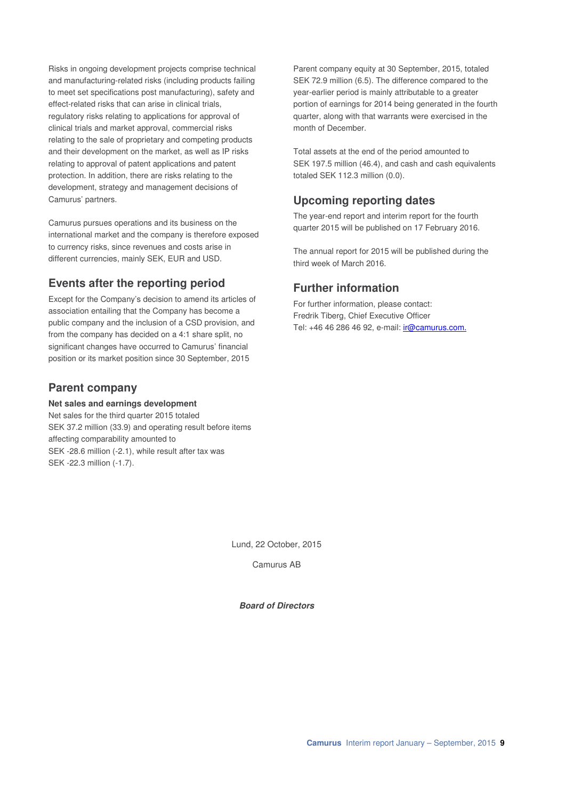Risks in ongoing development projects comprise technical and manufacturing-related risks (including products failing to meet set specifications post manufacturing), safety and effect-related risks that can arise in clinical trials, regulatory risks relating to applications for approval of clinical trials and market approval, commercial risks relating to the sale of proprietary and competing products and their development on the market, as well as IP risks relating to approval of patent applications and patent protection. In addition, there are risks relating to the development, strategy and management decisions of Camurus' partners.

Camurus pursues operations and its business on the international market and the company is therefore exposed to currency risks, since revenues and costs arise in different currencies, mainly SEK, EUR and USD.

# **Events after the reporting period**

Except for the Company's decision to amend its articles of association entailing that the Company has become a public company and the inclusion of a CSD provision, and from the company has decided on a 4:1 share split, no significant changes have occurred to Camurus' financial position or its market position since 30 September, 2015

### **Parent company**

#### **Net sales and earnings development**

Net sales for the third quarter 2015 totaled SEK 37.2 million (33.9) and operating result before items affecting comparability amounted to SEK -28.6 million (-2.1), while result after tax was SEK -22.3 million (-1.7).

Parent company equity at 30 September, 2015, totaled SEK 72.9 million (6.5). The difference compared to the year-earlier period is mainly attributable to a greater portion of earnings for 2014 being generated in the fourth quarter, along with that warrants were exercised in the month of December.

Total assets at the end of the period amounted to SEK 197.5 million (46.4), and cash and cash equivalents totaled SEK 112.3 million (0.0).

### **Upcoming reporting dates**

The year-end report and interim report for the fourth quarter 2015 will be published on 17 February 2016.

The annual report for 2015 will be published during the third week of March 2016.

# **Further information**

For further information, please contact: Fredrik Tiberg, Chief Executive Officer Tel: +46 46 286 46 92, e-mail: *ir@camurus.com.* 

Lund, 22 October, 2015

Camurus AB

**Board of Directors**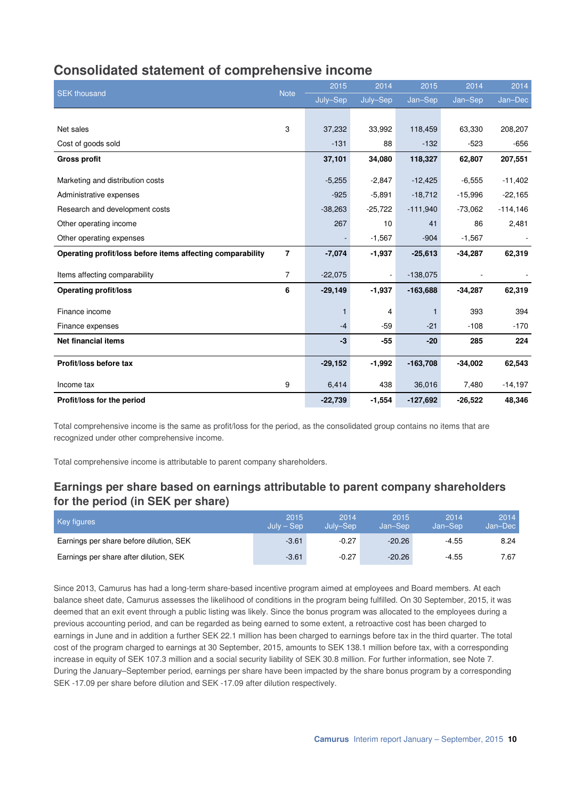# **Consolidated statement of comprehensive income**

| <b>SEK thousand</b>                                        | <b>Note</b>    | 2015      | 2014           | 2015       | 2014      | 2014       |
|------------------------------------------------------------|----------------|-----------|----------------|------------|-----------|------------|
|                                                            |                | July-Sep  | July-Sep       | Jan-Sep    | Jan-Sep   | Jan-Dec    |
|                                                            |                |           |                |            |           |            |
| Net sales                                                  | 3              | 37,232    | 33,992         | 118,459    | 63,330    | 208,207    |
| Cost of goods sold                                         |                | $-131$    | 88             | $-132$     | $-523$    | $-656$     |
| <b>Gross profit</b>                                        |                | 37,101    | 34,080         | 118,327    | 62,807    | 207,551    |
|                                                            |                |           |                |            |           |            |
| Marketing and distribution costs                           |                | $-5,255$  | $-2,847$       | $-12,425$  | $-6,555$  | $-11,402$  |
| Administrative expenses                                    |                | $-925$    | $-5,891$       | $-18,712$  | $-15,996$ | $-22,165$  |
| Research and development costs                             |                | $-38,263$ | $-25,722$      | $-111,940$ | $-73,062$ | $-114,146$ |
| Other operating income                                     |                | 267       | 10             | 41         | 86        | 2,481      |
| Other operating expenses                                   |                |           | $-1,567$       | $-904$     | $-1,567$  |            |
| Operating profit/loss before items affecting comparability | $\overline{7}$ | $-7,074$  | $-1,937$       | $-25,613$  | $-34,287$ | 62,319     |
| Items affecting comparability                              | $\overline{7}$ | $-22,075$ | $\blacksquare$ | $-138,075$ |           |            |
| <b>Operating profit/loss</b>                               | 6              | $-29,149$ | $-1,937$       | $-163,688$ | $-34,287$ | 62,319     |
| Finance income                                             |                | 1         | 4              |            | 393       | 394        |
| Finance expenses                                           |                | $-4$      | $-59$          | $-21$      | $-108$    | $-170$     |
| <b>Net financial items</b>                                 |                | $-3$      | $-55$          | $-20$      | 285       | 224        |
| Profit/loss before tax                                     |                | $-29,152$ | $-1,992$       | $-163,708$ | $-34,002$ | 62,543     |
| Income tax                                                 | 9              | 6,414     | 438            | 36,016     | 7,480     | $-14,197$  |
| Profit/loss for the period                                 |                | $-22,739$ | $-1,554$       | $-127,692$ | $-26,522$ | 48,346     |

Total comprehensive income is the same as profit/loss for the period, as the consolidated group contains no items that are recognized under other comprehensive income.

Total comprehensive income is attributable to parent company shareholders.

# **Earnings per share based on earnings attributable to parent company shareholders for the period (in SEK per share)**

| <b>Key figures</b>                      | 2015<br>$July - Sep$ | 2014<br>July-Sep | 2015<br>Jan-Sep | 2014<br>Jan-Sep | 2014<br>Jan-Dec |
|-----------------------------------------|----------------------|------------------|-----------------|-----------------|-----------------|
| Earnings per share before dilution, SEK | $-3.61$              | $-0.27$          | $-20.26$        | $-4.55$         | 8.24            |
| Earnings per share after dilution, SEK  | $-3.61$              | $-0.27$          | $-20.26$        | $-4.55$         | 7.67            |

Since 2013, Camurus has had a long-term share-based incentive program aimed at employees and Board members. At each balance sheet date, Camurus assesses the likelihood of conditions in the program being fulfilled. On 30 September, 2015, it was deemed that an exit event through a public listing was likely. Since the bonus program was allocated to the employees during a previous accounting period, and can be regarded as being earned to some extent, a retroactive cost has been charged to earnings in June and in addition a further SEK 22.1 million has been charged to earnings before tax in the third quarter. The total cost of the program charged to earnings at 30 September, 2015, amounts to SEK 138.1 million before tax, with a corresponding increase in equity of SEK 107.3 million and a social security liability of SEK 30.8 million. For further information, see Note 7. During the January–September period, earnings per share have been impacted by the share bonus program by a corresponding SEK -17.09 per share before dilution and SEK -17.09 after dilution respectively.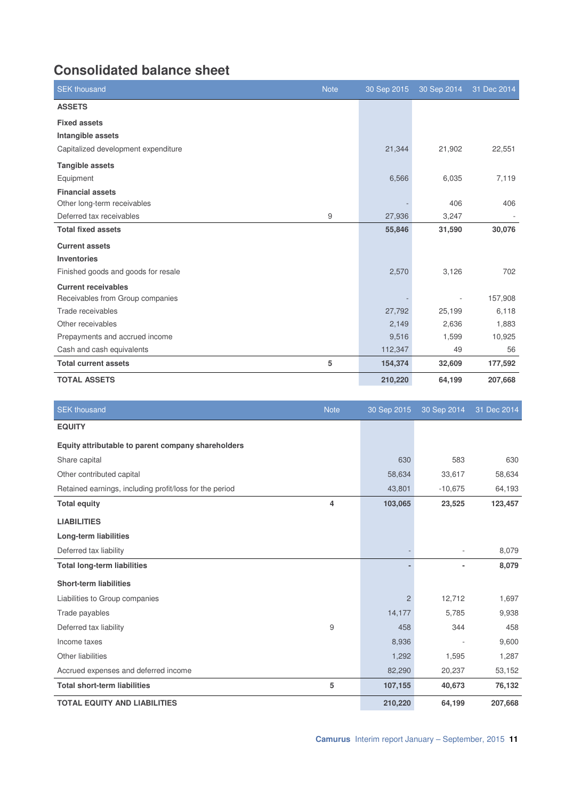# **Consolidated balance sheet**

| <b>SEK</b> thousand                 | <b>Note</b> | 30 Sep 2015 | 30 Sep 2014 | 31 Dec 2014 |
|-------------------------------------|-------------|-------------|-------------|-------------|
| <b>ASSETS</b>                       |             |             |             |             |
| <b>Fixed assets</b>                 |             |             |             |             |
| Intangible assets                   |             |             |             |             |
| Capitalized development expenditure |             | 21,344      | 21,902      | 22,551      |
| <b>Tangible assets</b>              |             |             |             |             |
| Equipment                           |             | 6,566       | 6,035       | 7,119       |
| <b>Financial assets</b>             |             |             |             |             |
| Other long-term receivables         |             |             | 406         | 406         |
| Deferred tax receivables            | 9           | 27,936      | 3,247       |             |
| <b>Total fixed assets</b>           |             | 55,846      | 31,590      | 30,076      |
| <b>Current assets</b>               |             |             |             |             |
| <b>Inventories</b>                  |             |             |             |             |
| Finished goods and goods for resale |             | 2,570       | 3,126       | 702         |
| <b>Current receivables</b>          |             |             |             |             |
| Receivables from Group companies    |             |             |             | 157,908     |
| Trade receivables                   |             | 27,792      | 25,199      | 6,118       |
| Other receivables                   |             | 2,149       | 2,636       | 1,883       |
| Prepayments and accrued income      |             | 9,516       | 1,599       | 10,925      |
| Cash and cash equivalents           |             | 112,347     | 49          | 56          |
| <b>Total current assets</b>         | 5           | 154,374     | 32,609      | 177,592     |
| <b>TOTAL ASSETS</b>                 |             | 210,220     | 64,199      | 207,668     |

| <b>SEK thousand</b>                                     | <b>Note</b> | 30 Sep 2015    | 30 Sep 2014 | 31 Dec 2014 |
|---------------------------------------------------------|-------------|----------------|-------------|-------------|
| <b>EQUITY</b>                                           |             |                |             |             |
| Equity attributable to parent company shareholders      |             |                |             |             |
| Share capital                                           |             | 630            | 583         | 630         |
| Other contributed capital                               |             | 58,634         | 33,617      | 58,634      |
| Retained earnings, including profit/loss for the period |             | 43,801         | $-10,675$   | 64,193      |
| <b>Total equity</b>                                     | 4           | 103,065        | 23,525      | 123,457     |
| <b>LIABILITIES</b>                                      |             |                |             |             |
| <b>Long-term liabilities</b>                            |             |                |             |             |
| Deferred tax liability                                  |             |                | ٠           | 8,079       |
| <b>Total long-term liabilities</b>                      |             |                |             | 8,079       |
| <b>Short-term liabilities</b>                           |             |                |             |             |
| Liabilities to Group companies                          |             | $\overline{2}$ | 12,712      | 1,697       |
| Trade payables                                          |             | 14,177         | 5,785       | 9,938       |
| Deferred tax liability                                  | 9           | 458            | 344         | 458         |
| Income taxes                                            |             | 8,936          |             | 9,600       |
| Other liabilities                                       |             | 1,292          | 1,595       | 1,287       |
| Accrued expenses and deferred income                    |             | 82,290         | 20,237      | 53,152      |
| <b>Total short-term liabilities</b>                     | 5           | 107,155        | 40,673      | 76,132      |
| <b>TOTAL EQUITY AND LIABILITIES</b>                     |             | 210,220        | 64,199      | 207,668     |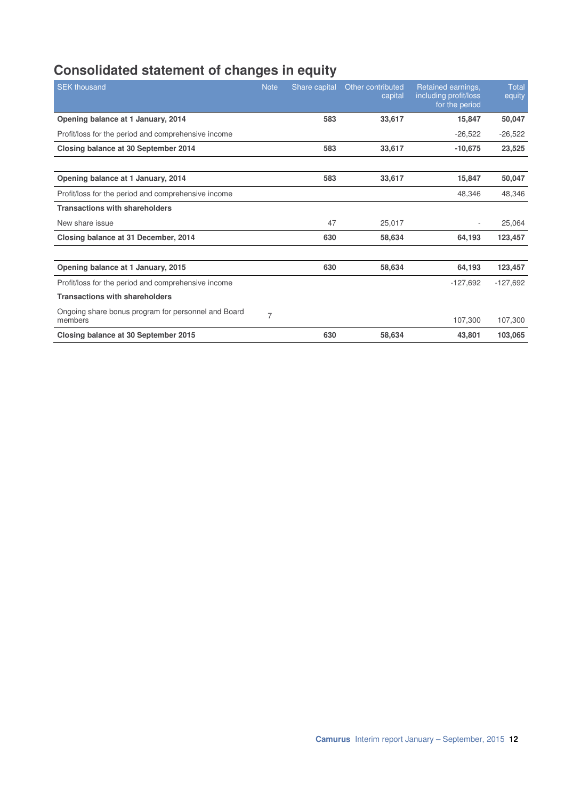# **Consolidated statement of changes in equity**

| <b>SEK thousand</b>                                            | <b>Note</b>    | Share capital | Other contributed<br>capital | Retained earnings,<br>including profit/loss<br>for the period | Total<br>equity |
|----------------------------------------------------------------|----------------|---------------|------------------------------|---------------------------------------------------------------|-----------------|
| Opening balance at 1 January, 2014                             |                | 583           | 33,617                       | 15,847                                                        | 50,047          |
| Profit/loss for the period and comprehensive income            |                |               |                              | $-26,522$                                                     | $-26,522$       |
| Closing balance at 30 September 2014                           |                | 583           | 33,617                       | $-10,675$                                                     | 23,525          |
|                                                                |                |               |                              |                                                               |                 |
| Opening balance at 1 January, 2014                             |                | 583           | 33.617                       | 15.847                                                        | 50,047          |
| Profit/loss for the period and comprehensive income            |                |               |                              | 48.346                                                        | 48,346          |
| <b>Transactions with shareholders</b>                          |                |               |                              |                                                               |                 |
| New share issue                                                |                | 47            | 25,017                       |                                                               | 25,064          |
| Closing balance at 31 December, 2014                           |                | 630           | 58,634                       | 64,193                                                        | 123,457         |
|                                                                |                |               |                              |                                                               |                 |
| Opening balance at 1 January, 2015                             |                | 630           | 58,634                       | 64,193                                                        | 123,457         |
| Profit/loss for the period and comprehensive income            |                |               |                              | $-127,692$                                                    | $-127,692$      |
| <b>Transactions with shareholders</b>                          |                |               |                              |                                                               |                 |
| Ongoing share bonus program for personnel and Board<br>members | $\overline{7}$ |               |                              | 107,300                                                       | 107,300         |
| Closing balance at 30 September 2015                           |                | 630           | 58,634                       | 43,801                                                        | 103,065         |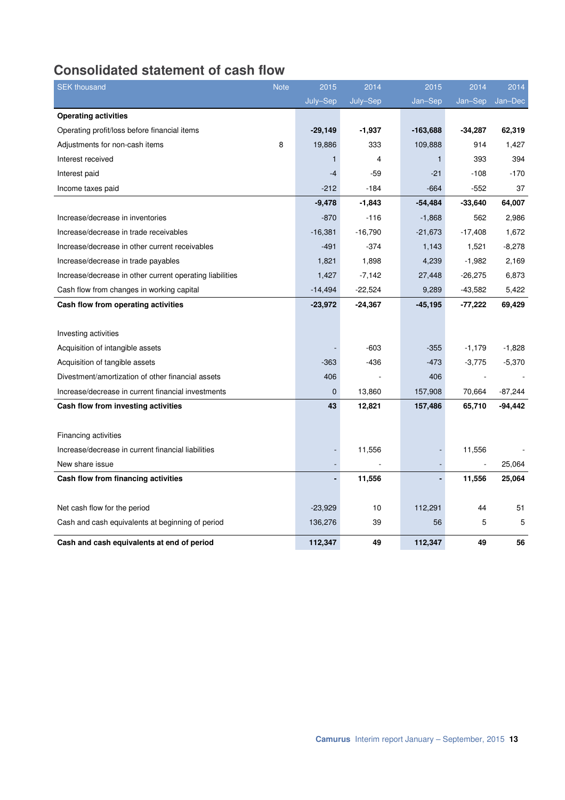# **Consolidated statement of cash flow**

| <b>SEK thousand</b>                                      | <b>Note</b> | 2015         | 2014      | 2015       | 2014      | 2014      |
|----------------------------------------------------------|-------------|--------------|-----------|------------|-----------|-----------|
|                                                          |             | July-Sep     | July-Sep  | Jan-Sep    | Jan-Sep   | Jan-Dec   |
| <b>Operating activities</b>                              |             |              |           |            |           |           |
| Operating profit/loss before financial items             |             | $-29,149$    | $-1,937$  | $-163,688$ | $-34,287$ | 62,319    |
| Adjustments for non-cash items                           | 8           | 19,886       | 333       | 109,888    | 914       | 1,427     |
| Interest received                                        |             | $\mathbf{1}$ | 4         | 1          | 393       | 394       |
| Interest paid                                            |             | $-4$         | $-59$     | $-21$      | $-108$    | $-170$    |
| Income taxes paid                                        |             | $-212$       | $-184$    | $-664$     | $-552$    | 37        |
|                                                          |             | $-9,478$     | $-1,843$  | $-54,484$  | $-33,640$ | 64,007    |
| Increase/decrease in inventories                         |             | $-870$       | $-116$    | $-1,868$   | 562       | 2,986     |
| Increase/decrease in trade receivables                   |             | $-16,381$    | $-16,790$ | $-21,673$  | $-17,408$ | 1,672     |
| Increase/decrease in other current receivables           |             | $-491$       | $-374$    | 1,143      | 1,521     | $-8,278$  |
| Increase/decrease in trade payables                      |             | 1,821        | 1,898     | 4,239      | $-1,982$  | 2,169     |
| Increase/decrease in other current operating liabilities |             | 1,427        | $-7,142$  | 27,448     | $-26,275$ | 6,873     |
| Cash flow from changes in working capital                |             | $-14,494$    | $-22,524$ | 9,289      | $-43,582$ | 5,422     |
| Cash flow from operating activities                      |             | $-23,972$    | $-24,367$ | $-45, 195$ | -77,222   | 69,429    |
|                                                          |             |              |           |            |           |           |
| Investing activities                                     |             |              |           |            |           |           |
| Acquisition of intangible assets                         |             |              | $-603$    | $-355$     | $-1,179$  | $-1,828$  |
| Acquisition of tangible assets                           |             | $-363$       | -436      | -473       | $-3,775$  | $-5,370$  |
| Divestment/amortization of other financial assets        |             | 406          |           | 406        |           |           |
| Increase/decrease in current financial investments       |             | $\mathbf 0$  | 13,860    | 157,908    | 70,664    | $-87,244$ |
| Cash flow from investing activities                      |             | 43           | 12,821    | 157,486    | 65,710    | $-94,442$ |
|                                                          |             |              |           |            |           |           |
| <b>Financing activities</b>                              |             |              |           |            |           |           |
| Increase/decrease in current financial liabilities       |             |              | 11,556    |            | 11,556    |           |
| New share issue                                          |             |              |           |            |           | 25,064    |
| Cash flow from financing activities                      |             |              | 11,556    |            | 11,556    | 25,064    |
|                                                          |             |              |           |            |           |           |
| Net cash flow for the period                             |             | $-23,929$    | 10        | 112,291    | 44        | 51        |
| Cash and cash equivalents at beginning of period         |             | 136,276      | 39        | 56         | 5         | 5         |
| Cash and cash equivalents at end of period               |             | 112,347      | 49        | 112,347    | 49        | 56        |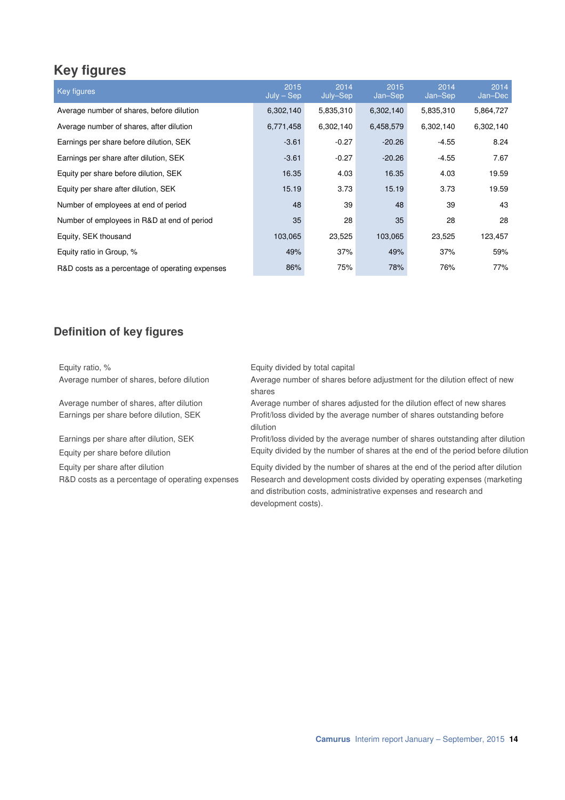# **Key figures**

| Key figures                                     | 2015<br>$July - Sep$ | 2014<br>July-Sep | 2015<br>Jan-Sep | 2014<br>Jan-Sep | 2014<br>Jan-Dec |
|-------------------------------------------------|----------------------|------------------|-----------------|-----------------|-----------------|
| Average number of shares, before dilution       | 6,302,140            | 5,835,310        | 6,302,140       | 5,835,310       | 5,864,727       |
| Average number of shares, after dilution        | 6,771,458            | 6,302,140        | 6,458,579       | 6,302,140       | 6,302,140       |
| Earnings per share before dilution, SEK         | $-3.61$              | $-0.27$          | $-20.26$        | $-4.55$         | 8.24            |
| Earnings per share after dilution, SEK          | $-3.61$              | $-0.27$          | $-20.26$        | $-4.55$         | 7.67            |
| Equity per share before dilution, SEK           | 16.35                | 4.03             | 16.35           | 4.03            | 19.59           |
| Equity per share after dilution, SEK            | 15.19                | 3.73             | 15.19           | 3.73            | 19.59           |
| Number of employees at end of period            | 48                   | 39               | 48              | 39              | 43              |
| Number of employees in R&D at end of period     | 35                   | 28               | 35              | 28              | 28              |
| Equity, SEK thousand                            | 103,065              | 23,525           | 103,065         | 23,525          | 123,457         |
| Equity ratio in Group, %                        | 49%                  | 37%              | 49%             | 37%             | 59%             |
| R&D costs as a percentage of operating expenses | 86%                  | 75%              | 78%             | 76%             | 77%             |

# **Definition of key figures**

| Equity ratio, %                                 | Equity divided by total capital                                                                                                                                    |
|-------------------------------------------------|--------------------------------------------------------------------------------------------------------------------------------------------------------------------|
| Average number of shares, before dilution       | Average number of shares before adjustment for the dilution effect of new<br>shares                                                                                |
| Average number of shares, after dilution        | Average number of shares adjusted for the dilution effect of new shares                                                                                            |
| Earnings per share before dilution, SEK         | Profit/loss divided by the average number of shares outstanding before<br>dilution                                                                                 |
| Earnings per share after dilution, SEK          | Profit/loss divided by the average number of shares outstanding after dilution                                                                                     |
| Equity per share before dilution                | Equity divided by the number of shares at the end of the period before dilution                                                                                    |
| Equity per share after dilution                 | Equity divided by the number of shares at the end of the period after dilution                                                                                     |
| R&D costs as a percentage of operating expenses | Research and development costs divided by operating expenses (marketing<br>and distribution costs, administrative expenses and research and<br>development costs). |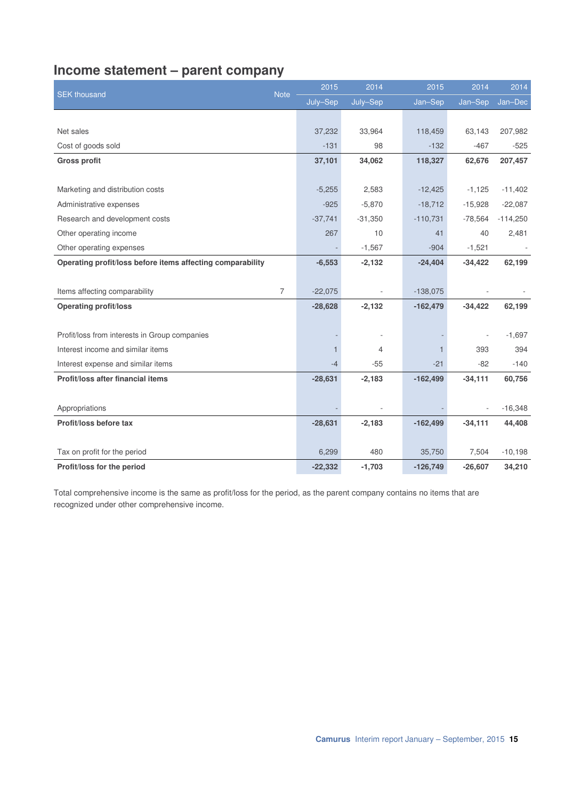# **Income statement – parent company**

| <b>SEK thousand</b>                                        |                | 2015         | 2014                     | 2015       | 2014      | 2014       |
|------------------------------------------------------------|----------------|--------------|--------------------------|------------|-----------|------------|
|                                                            | <b>Note</b>    | July-Sep     | July-Sep                 | Jan-Sep    | Jan-Sep   | Jan-Dec    |
|                                                            |                |              |                          |            |           |            |
| Net sales                                                  |                | 37,232       | 33,964                   | 118,459    | 63,143    | 207,982    |
| Cost of goods sold                                         |                | $-131$       | 98                       | $-132$     | $-467$    | $-525$     |
| <b>Gross profit</b>                                        |                | 37,101       | 34,062                   | 118,327    | 62,676    | 207,457    |
|                                                            |                |              |                          |            |           |            |
| Marketing and distribution costs                           |                | $-5,255$     | 2,583                    | $-12,425$  | $-1,125$  | $-11,402$  |
| Administrative expenses                                    |                | $-925$       | $-5,870$                 | $-18,712$  | $-15,928$ | $-22,087$  |
| Research and development costs                             |                | $-37,741$    | $-31,350$                | $-110,731$ | $-78,564$ | $-114,250$ |
| Other operating income                                     |                | 267          | 10                       | 41         | 40        | 2,481      |
| Other operating expenses                                   |                |              | $-1,567$                 | $-904$     | $-1,521$  |            |
| Operating profit/loss before items affecting comparability |                | $-6,553$     | $-2,132$                 | $-24,404$  | $-34,422$ | 62,199     |
|                                                            |                |              |                          |            |           |            |
| Items affecting comparability                              | $\overline{7}$ | $-22,075$    |                          | $-138,075$ |           |            |
| <b>Operating profit/loss</b>                               |                | $-28,628$    | $-2,132$                 | $-162,479$ | $-34,422$ | 62,199     |
|                                                            |                |              |                          |            |           |            |
| Profit/loss from interests in Group companies              |                |              | $\overline{\phantom{a}}$ |            |           | $-1,697$   |
| Interest income and similar items                          |                | $\mathbf{1}$ | $\overline{4}$           |            | 393       | 394        |
| Interest expense and similar items                         |                | $-4$         | $-55$                    | $-21$      | $-82$     | $-140$     |
| Profit/loss after financial items                          |                | $-28,631$    | $-2,183$                 | $-162,499$ | $-34,111$ | 60,756     |
|                                                            |                |              |                          |            |           |            |
| Appropriations                                             |                |              |                          |            |           | $-16,348$  |
| Profit/loss before tax                                     |                | $-28,631$    | $-2,183$                 | $-162,499$ | $-34,111$ | 44,408     |
|                                                            |                |              |                          |            |           |            |
| Tax on profit for the period                               |                | 6,299        | 480                      | 35,750     | 7,504     | $-10,198$  |
| Profit/loss for the period                                 |                | $-22,332$    | $-1,703$                 | $-126,749$ | $-26,607$ | 34,210     |

Total comprehensive income is the same as profit/loss for the period, as the parent company contains no items that are recognized under other comprehensive income.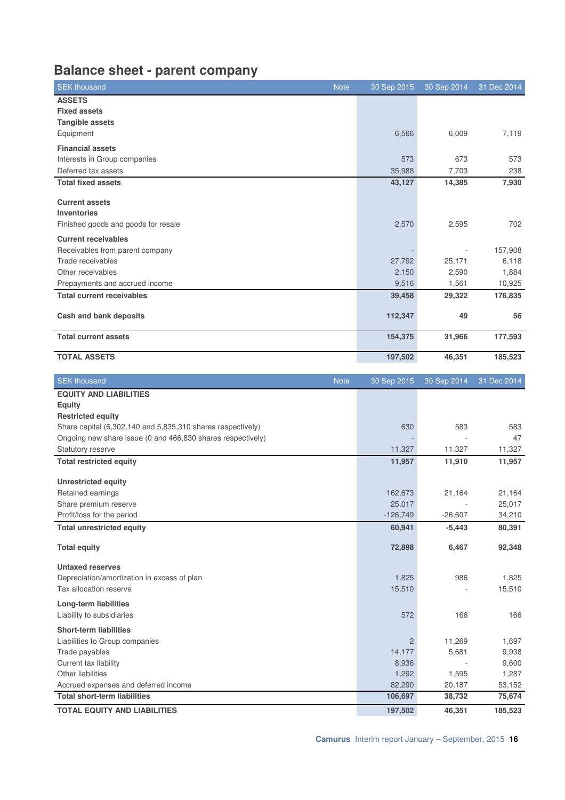# **Balance sheet - parent company**

| <b>SEK thousand</b><br><b>Note</b>                                         | 30 Sep 2015     | 30 Sep 2014      | 31 Dec 2014      |
|----------------------------------------------------------------------------|-----------------|------------------|------------------|
| <b>ASSETS</b>                                                              |                 |                  |                  |
| <b>Fixed assets</b>                                                        |                 |                  |                  |
| <b>Tangible assets</b>                                                     |                 |                  |                  |
| Equipment                                                                  | 6,566           | 6,009            | 7,119            |
| <b>Financial assets</b>                                                    |                 |                  |                  |
| Interests in Group companies                                               | 573             | 673              | 573              |
| Deferred tax assets                                                        | 35,988          | 7,703            | 238              |
| <b>Total fixed assets</b>                                                  | 43,127          | 14,385           | 7,930            |
| <b>Current assets</b>                                                      |                 |                  |                  |
| <b>Inventories</b>                                                         |                 |                  |                  |
| Finished goods and goods for resale                                        | 2,570           | 2,595            | 702              |
|                                                                            |                 |                  |                  |
| <b>Current receivables</b>                                                 |                 |                  |                  |
| Receivables from parent company                                            |                 |                  | 157,908          |
| Trade receivables<br>Other receivables                                     | 27,792<br>2,150 | 25,171<br>2,590  | 6,118            |
|                                                                            | 9,516           |                  | 1,884            |
| Prepayments and accrued income                                             |                 | 1,561            | 10,925           |
| <b>Total current receivables</b>                                           | 39,458          | 29,322           | 176,835          |
| <b>Cash and bank deposits</b>                                              | 112,347         | 49               | 56               |
| <b>Total current assets</b>                                                | 154,375         | 31,966           | 177,593          |
|                                                                            |                 |                  |                  |
| <b>TOTAL ASSETS</b>                                                        | 197,502         | 46,351           | 185,523          |
| <b>SEK thousand</b><br><b>Note</b>                                         | 30 Sep 2015     | 30 Sep 2014      | 31 Dec 2014      |
| <b>EQUITY AND LIABILITIES</b>                                              |                 |                  |                  |
|                                                                            |                 |                  |                  |
| <b>Equity</b>                                                              |                 |                  |                  |
| <b>Restricted equity</b>                                                   |                 |                  |                  |
| Share capital (6,302,140 and 5,835,310 shares respectively)                | 630             | 583              | 583              |
| Ongoing new share issue (0 and 466,830 shares respectively)                |                 |                  | 47               |
| Statutory reserve                                                          | 11,327          | 11,327           | 11,327           |
| <b>Total restricted equity</b>                                             | 11,957          | 11,910           | 11,957           |
|                                                                            |                 |                  |                  |
| <b>Unrestricted equity</b><br>Retained earnings                            | 162,673         | 21,164           | 21,164           |
| Share premium reserve                                                      | 25,017          |                  |                  |
| Profit/loss for the period                                                 | $-126,749$      | $-26,607$        | 25,017<br>34,210 |
| <b>Total unrestricted equity</b>                                           | 60,941          | $-5,443$         | 80,391           |
|                                                                            |                 |                  |                  |
| <b>Total equity</b>                                                        | 72,898          | 6,467            | 92,348           |
| <b>Untaxed reserves</b>                                                    |                 |                  |                  |
| Depreciation/amortization in excess of plan                                | 1,825           | 986              | 1,825            |
| Tax allocation reserve                                                     | 15,510          |                  | 15,510           |
| <b>Long-term liabilities</b>                                               |                 |                  |                  |
| Liability to subsidiaries                                                  | 572             | 166              | 166              |
| <b>Short-term liabilities</b>                                              |                 |                  |                  |
| Liabilities to Group companies                                             | 2               | 11,269           | 1,697            |
| Trade payables                                                             | 14,177          | 5,681            | 9,938            |
| Current tax liability                                                      | 8,936           |                  | 9,600            |
| Other liabilities                                                          | 1,292           | 1,595            | 1,287            |
| Accrued expenses and deferred income                                       | 82,290          | 20,187           | 53,152           |
| <b>Total short-term liabilities</b><br><b>TOTAL EQUITY AND LIABILITIES</b> | 106,697         | 38,732<br>46,351 | 75,674           |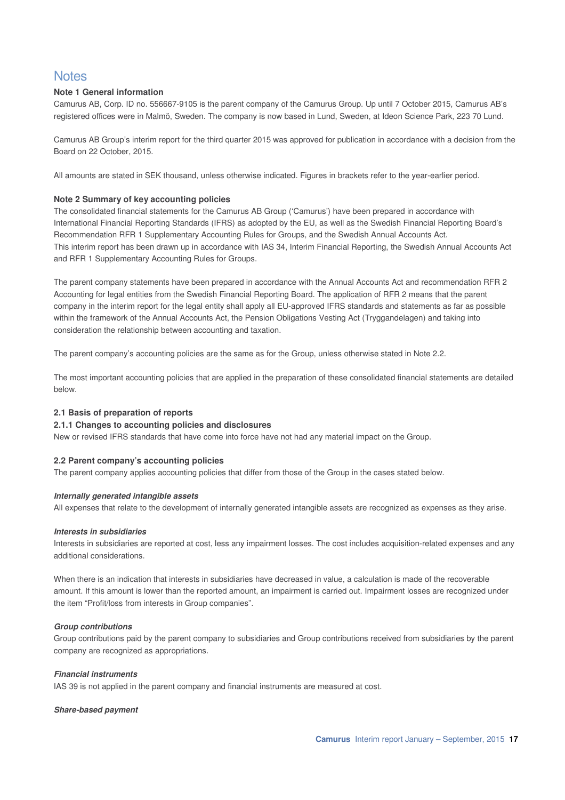# **Notes**

#### **Note 1 General information**

Camurus AB, Corp. ID no. 556667-9105 is the parent company of the Camurus Group. Up until 7 October 2015, Camurus AB's registered offices were in Malmö, Sweden. The company is now based in Lund, Sweden, at Ideon Science Park, 223 70 Lund.

Camurus AB Group's interim report for the third quarter 2015 was approved for publication in accordance with a decision from the Board on 22 October, 2015.

All amounts are stated in SEK thousand, unless otherwise indicated. Figures in brackets refer to the year-earlier period.

#### **Note 2 Summary of key accounting policies**

The consolidated financial statements for the Camurus AB Group ('Camurus') have been prepared in accordance with International Financial Reporting Standards (IFRS) as adopted by the EU, as well as the Swedish Financial Reporting Board's Recommendation RFR 1 Supplementary Accounting Rules for Groups, and the Swedish Annual Accounts Act. This interim report has been drawn up in accordance with IAS 34, Interim Financial Reporting, the Swedish Annual Accounts Act and RFR 1 Supplementary Accounting Rules for Groups.

The parent company statements have been prepared in accordance with the Annual Accounts Act and recommendation RFR 2 Accounting for legal entities from the Swedish Financial Reporting Board. The application of RFR 2 means that the parent company in the interim report for the legal entity shall apply all EU-approved IFRS standards and statements as far as possible within the framework of the Annual Accounts Act, the Pension Obligations Vesting Act (Tryggandelagen) and taking into consideration the relationship between accounting and taxation.

The parent company's accounting policies are the same as for the Group, unless otherwise stated in Note 2.2.

The most important accounting policies that are applied in the preparation of these consolidated financial statements are detailed below.

#### **2.1 Basis of preparation of reports**

#### **2.1.1 Changes to accounting policies and disclosures**

New or revised IFRS standards that have come into force have not had any material impact on the Group.

#### **2.2 Parent company's accounting policies**

The parent company applies accounting policies that differ from those of the Group in the cases stated below.

#### **Internally generated intangible assets**

All expenses that relate to the development of internally generated intangible assets are recognized as expenses as they arise.

#### **Interests in subsidiaries**

Interests in subsidiaries are reported at cost, less any impairment losses. The cost includes acquisition-related expenses and any additional considerations.

When there is an indication that interests in subsidiaries have decreased in value, a calculation is made of the recoverable amount. If this amount is lower than the reported amount, an impairment is carried out. Impairment losses are recognized under the item "Profit/loss from interests in Group companies".

#### **Group contributions**

Group contributions paid by the parent company to subsidiaries and Group contributions received from subsidiaries by the parent company are recognized as appropriations.

#### **Financial instruments**

IAS 39 is not applied in the parent company and financial instruments are measured at cost.

#### **Share-based payment**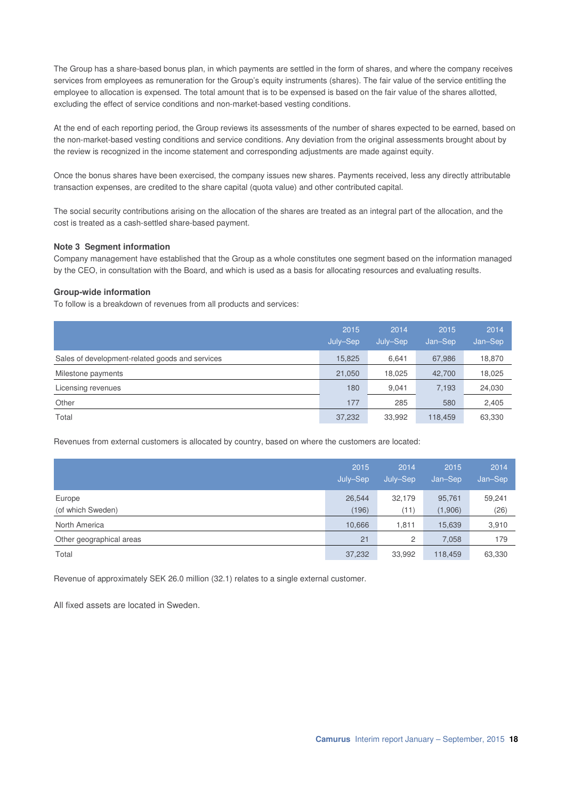The Group has a share-based bonus plan, in which payments are settled in the form of shares, and where the company receives services from employees as remuneration for the Group's equity instruments (shares). The fair value of the service entitling the employee to allocation is expensed. The total amount that is to be expensed is based on the fair value of the shares allotted, excluding the effect of service conditions and non-market-based vesting conditions.

At the end of each reporting period, the Group reviews its assessments of the number of shares expected to be earned, based on the non-market-based vesting conditions and service conditions. Any deviation from the original assessments brought about by the review is recognized in the income statement and corresponding adjustments are made against equity.

Once the bonus shares have been exercised, the company issues new shares. Payments received, less any directly attributable transaction expenses, are credited to the share capital (quota value) and other contributed capital.

The social security contributions arising on the allocation of the shares are treated as an integral part of the allocation, and the cost is treated as a cash-settled share-based payment.

#### **Note 3 Segment information**

Company management have established that the Group as a whole constitutes one segment based on the information managed by the CEO, in consultation with the Board, and which is used as a basis for allocating resources and evaluating results.

#### **Group-wide information**

To follow is a breakdown of revenues from all products and services:

|                                                 | 2015<br>July-Sep | 2014<br>July-Sep | 2015<br>Jan-Sep | 2014<br>Jan-Sep |
|-------------------------------------------------|------------------|------------------|-----------------|-----------------|
| Sales of development-related goods and services | 15.825           | 6,641            | 67,986          | 18,870          |
| Milestone payments                              | 21,050           | 18,025           | 42,700          | 18,025          |
| Licensing revenues                              | 180              | 9,041            | 7,193           | 24,030          |
| Other                                           | 177              | 285              | 580             | 2,405           |
| Total                                           | 37,232           | 33,992           | 118,459         | 63,330          |

Revenues from external customers is allocated by country, based on where the customers are located:

|                          | 2015<br>July-Sep | 2014<br>July-Sep | 2015<br>Jan-Sep | 2014<br>Jan-Sep |
|--------------------------|------------------|------------------|-----------------|-----------------|
| Europe                   | 26,544           | 32,179           | 95,761          | 59,241          |
| (of which Sweden)        | (196)            | (11)             | (1,906)         | (26)            |
| North America            | 10,666           | 1,811            | 15,639          | 3,910           |
| Other geographical areas | 21               | 2                | 7,058           | 179             |
| Total                    | 37,232           | 33,992           | 118,459         | 63,330          |

Revenue of approximately SEK 26.0 million (32.1) relates to a single external customer.

All fixed assets are located in Sweden.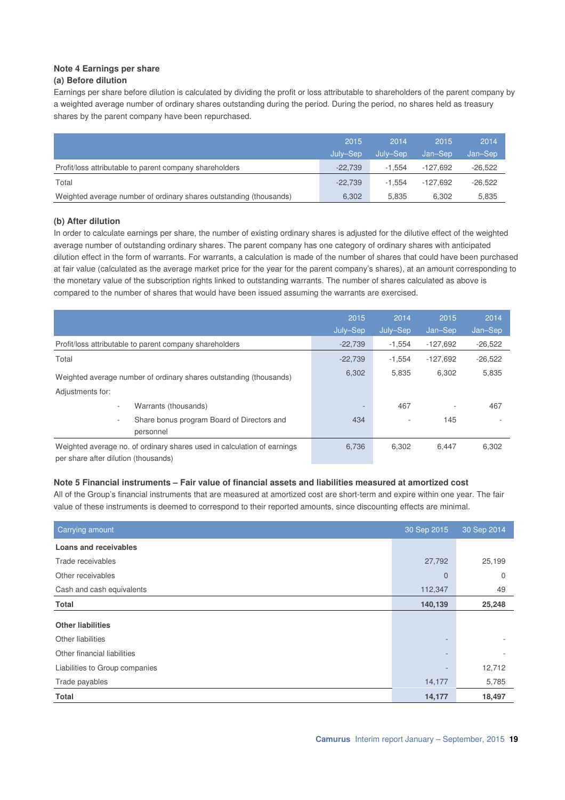# **Note 4 Earnings per share**

### **(a) Before dilution**

Earnings per share before dilution is calculated by dividing the profit or loss attributable to shareholders of the parent company by a weighted average number of ordinary shares outstanding during the period. During the period, no shares held as treasury shares by the parent company have been repurchased.

|                                                                    | 2015      | 2014     | 2015       | 2014      |
|--------------------------------------------------------------------|-----------|----------|------------|-----------|
|                                                                    | July-Sep  | July–Sep | Jan-Sep    | Jan-Sep   |
| Profit/loss attributable to parent company shareholders            | $-22.739$ | $-1.554$ | $-127.692$ | $-26.522$ |
| Total                                                              | $-22.739$ | $-1.554$ | -127.692   | $-26.522$ |
| Weighted average number of ordinary shares outstanding (thousands) | 6.302     | 5.835    | 6.302      | 5,835     |

#### **(b) After dilution**

In order to calculate earnings per share, the number of existing ordinary shares is adjusted for the dilutive effect of the weighted average number of outstanding ordinary shares. The parent company has one category of ordinary shares with anticipated dilution effect in the form of warrants. For warrants, a calculation is made of the number of shares that could have been purchased at fair value (calculated as the average market price for the year for the parent company's shares), at an amount corresponding to the monetary value of the subscription rights linked to outstanding warrants. The number of shares calculated as above is compared to the number of shares that would have been issued assuming the warrants are exercised.

|                                                                                                                 | 2015<br>July-Sep         | 2014<br>July-Sep | 2015<br>Jan-Sep | 2014<br>Jan-Sep |
|-----------------------------------------------------------------------------------------------------------------|--------------------------|------------------|-----------------|-----------------|
| Profit/loss attributable to parent company shareholders                                                         | $-22,739$                | $-1.554$         | $-127,692$      | $-26,522$       |
| Total                                                                                                           | $-22,739$                | $-1.554$         | $-127.692$      | $-26,522$       |
| Weighted average number of ordinary shares outstanding (thousands)                                              | 6,302                    | 5.835            | 6.302           | 5,835           |
| Adjustments for:                                                                                                |                          |                  |                 |                 |
| Warrants (thousands)<br>٠                                                                                       | $\overline{\phantom{a}}$ | 467              |                 | 467             |
| Share bonus program Board of Directors and<br>٠<br>personnel                                                    | 434                      |                  | 145             |                 |
| Weighted average no. of ordinary shares used in calculation of earnings<br>per share after dilution (thousands) | 6,736                    | 6.302            | 6,447           | 6,302           |

#### **Note 5 Financial instruments – Fair value of financial assets and liabilities measured at amortized cost**

All of the Group's financial instruments that are measured at amortized cost are short-term and expire within one year. The fair value of these instruments is deemed to correspond to their reported amounts, since discounting effects are minimal.

| Carrying amount                | 30 Sep 2015    | 30 Sep 2014 |
|--------------------------------|----------------|-------------|
| <b>Loans and receivables</b>   |                |             |
| Trade receivables              | 27,792         | 25,199      |
| Other receivables              | $\overline{0}$ | $\Omega$    |
| Cash and cash equivalents      | 112,347        | 49          |
| <b>Total</b>                   | 140,139        | 25,248      |
| <b>Other liabilities</b>       |                |             |
| Other liabilities              |                |             |
| Other financial liabilities    |                |             |
| Liabilities to Group companies |                | 12,712      |
| Trade payables                 | 14,177         | 5,785       |
| Total                          | 14,177         | 18,497      |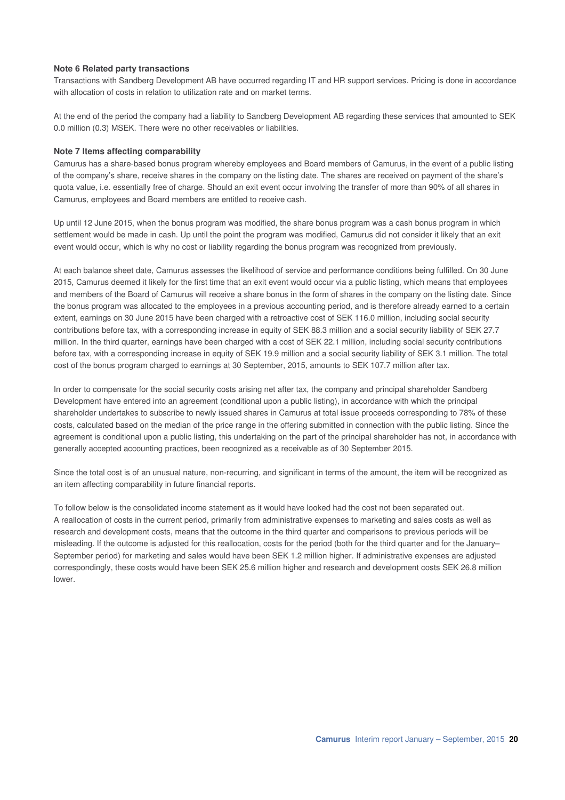#### **Note 6 Related party transactions**

Transactions with Sandberg Development AB have occurred regarding IT and HR support services. Pricing is done in accordance with allocation of costs in relation to utilization rate and on market terms.

At the end of the period the company had a liability to Sandberg Development AB regarding these services that amounted to SEK 0.0 million (0.3) MSEK. There were no other receivables or liabilities.

#### **Note 7 Items affecting comparability**

Camurus has a share-based bonus program whereby employees and Board members of Camurus, in the event of a public listing of the company's share, receive shares in the company on the listing date. The shares are received on payment of the share's quota value, i.e. essentially free of charge. Should an exit event occur involving the transfer of more than 90% of all shares in Camurus, employees and Board members are entitled to receive cash.

Up until 12 June 2015, when the bonus program was modified, the share bonus program was a cash bonus program in which settlement would be made in cash. Up until the point the program was modified, Camurus did not consider it likely that an exit event would occur, which is why no cost or liability regarding the bonus program was recognized from previously.

At each balance sheet date, Camurus assesses the likelihood of service and performance conditions being fulfilled. On 30 June 2015, Camurus deemed it likely for the first time that an exit event would occur via a public listing, which means that employees and members of the Board of Camurus will receive a share bonus in the form of shares in the company on the listing date. Since the bonus program was allocated to the employees in a previous accounting period, and is therefore already earned to a certain extent, earnings on 30 June 2015 have been charged with a retroactive cost of SEK 116.0 million, including social security contributions before tax, with a corresponding increase in equity of SEK 88.3 million and a social security liability of SEK 27.7 million. In the third quarter, earnings have been charged with a cost of SEK 22.1 million, including social security contributions before tax, with a corresponding increase in equity of SEK 19.9 million and a social security liability of SEK 3.1 million. The total cost of the bonus program charged to earnings at 30 September, 2015, amounts to SEK 107.7 million after tax.

In order to compensate for the social security costs arising net after tax, the company and principal shareholder Sandberg Development have entered into an agreement (conditional upon a public listing), in accordance with which the principal shareholder undertakes to subscribe to newly issued shares in Camurus at total issue proceeds corresponding to 78% of these costs, calculated based on the median of the price range in the offering submitted in connection with the public listing. Since the agreement is conditional upon a public listing, this undertaking on the part of the principal shareholder has not, in accordance with generally accepted accounting practices, been recognized as a receivable as of 30 September 2015.

Since the total cost is of an unusual nature, non-recurring, and significant in terms of the amount, the item will be recognized as an item affecting comparability in future financial reports.

To follow below is the consolidated income statement as it would have looked had the cost not been separated out. A reallocation of costs in the current period, primarily from administrative expenses to marketing and sales costs as well as research and development costs, means that the outcome in the third quarter and comparisons to previous periods will be misleading. If the outcome is adjusted for this reallocation, costs for the period (both for the third quarter and for the January– September period) for marketing and sales would have been SEK 1.2 million higher. If administrative expenses are adjusted correspondingly, these costs would have been SEK 25.6 million higher and research and development costs SEK 26.8 million lower.